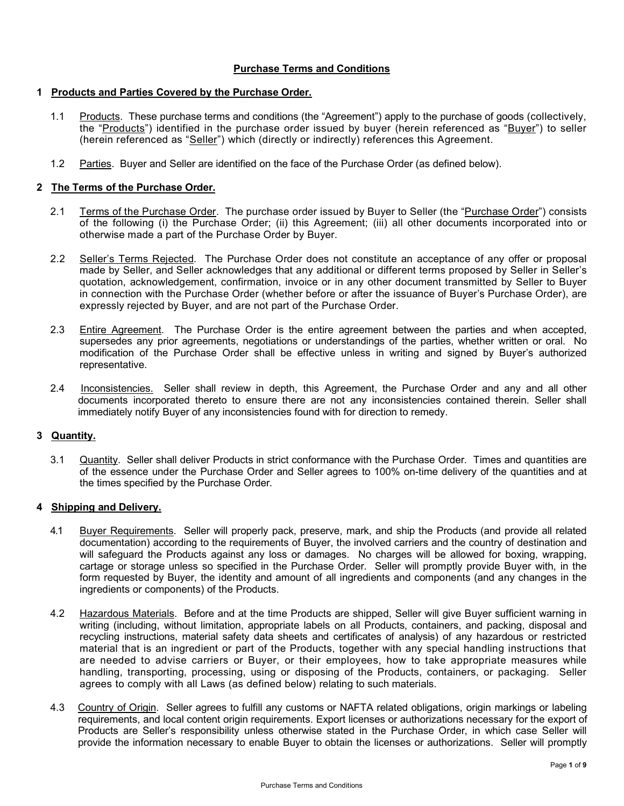# **Purchase Terms and Conditions**

#### **1 Products and Parties Covered by the Purchase Order.**

- 1.1 Products. These purchase terms and conditions (the "Agreement") apply to the purchase of goods (collectively, the "Products") identified in the purchase order issued by buyer (herein referenced as "Buyer") to seller (herein referenced as "Seller") which (directly or indirectly) references this Agreement.
- 1.2 Parties. Buyer and Seller are identified on the face of the Purchase Order (as defined below).

### **2 The Terms of the Purchase Order.**

- 2.1 Terms of the Purchase Order. The purchase order issued by Buyer to Seller (the "Purchase Order") consists of the following (i) the Purchase Order; (ii) this Agreement; (iii) all other documents incorporated into or otherwise made a part of the Purchase Order by Buyer.
- 2.2 Seller's Terms Rejected. The Purchase Order does not constitute an acceptance of any offer or proposal made by Seller, and Seller acknowledges that any additional or different terms proposed by Seller in Seller's quotation, acknowledgement, confirmation, invoice or in any other document transmitted by Seller to Buyer in connection with the Purchase Order (whether before or after the issuance of Buyer's Purchase Order), are expressly rejected by Buyer, and are not part of the Purchase Order.
- 2.3 Entire Agreement. The Purchase Order is the entire agreement between the parties and when accepted, supersedes any prior agreements, negotiations or understandings of the parties, whether written or oral. No modification of the Purchase Order shall be effective unless in writing and signed by Buyer's authorized representative.
- 2.4 Inconsistencies. Seller shall review in depth, this Agreement, the Purchase Order and any and all other documents incorporated thereto to ensure there are not any inconsistencies contained therein. Seller shall immediately notify Buyer of any inconsistencies found with for direction to remedy.

# **3 Quantity.**

3.1 Quantity. Seller shall deliver Products in strict conformance with the Purchase Order. Times and quantities are of the essence under the Purchase Order and Seller agrees to 100% on-time delivery of the quantities and at the times specified by the Purchase Order.

#### **4 Shipping and Delivery.**

- 4.1 Buyer Requirements. Seller will properly pack, preserve, mark, and ship the Products (and provide all related documentation) according to the requirements of Buyer, the involved carriers and the country of destination and will safeguard the Products against any loss or damages. No charges will be allowed for boxing, wrapping, cartage or storage unless so specified in the Purchase Order. Seller will promptly provide Buyer with, in the form requested by Buyer, the identity and amount of all ingredients and components (and any changes in the ingredients or components) of the Products.
- 4.2 Hazardous Materials. Before and at the time Products are shipped, Seller will give Buyer sufficient warning in writing (including, without limitation, appropriate labels on all Products, containers, and packing, disposal and recycling instructions, material safety data sheets and certificates of analysis) of any hazardous or restricted material that is an ingredient or part of the Products, together with any special handling instructions that are needed to advise carriers or Buyer, or their employees, how to take appropriate measures while handling, transporting, processing, using or disposing of the Products, containers, or packaging. Seller agrees to comply with all Laws (as defined below) relating to such materials.
- 4.3 Country of Origin. Seller agrees to fulfill any customs or NAFTA related obligations, origin markings or labeling requirements, and local content origin requirements. Export licenses or authorizations necessary for the export of Products are Seller's responsibility unless otherwise stated in the Purchase Order, in which case Seller will provide the information necessary to enable Buyer to obtain the licenses or authorizations. Seller will promptly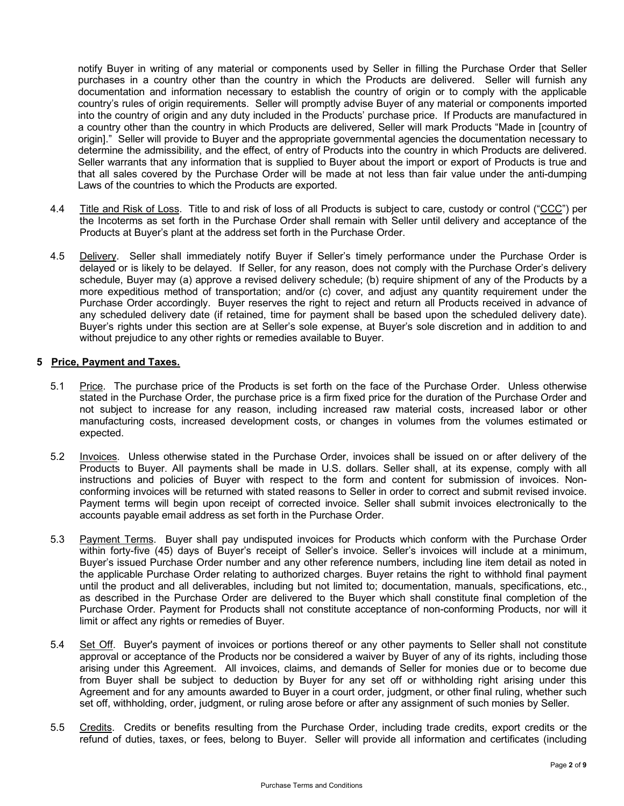notify Buyer in writing of any material or components used by Seller in filling the Purchase Order that Seller purchases in a country other than the country in which the Products are delivered. Seller will furnish any documentation and information necessary to establish the country of origin or to comply with the applicable country's rules of origin requirements. Seller will promptly advise Buyer of any material or components imported into the country of origin and any duty included in the Products' purchase price. If Products are manufactured in a country other than the country in which Products are delivered, Seller will mark Products "Made in [country of origin]." Seller will provide to Buyer and the appropriate governmental agencies the documentation necessary to determine the admissibility, and the effect, of entry of Products into the country in which Products are delivered. Seller warrants that any information that is supplied to Buyer about the import or export of Products is true and that all sales covered by the Purchase Order will be made at not less than fair value under the anti-dumping Laws of the countries to which the Products are exported.

- 4.4 Title and Risk of Loss. Title to and risk of loss of all Products is subject to care, custody or control ("CCC") per the Incoterms as set forth in the Purchase Order shall remain with Seller until delivery and acceptance of the Products at Buyer's plant at the address set forth in the Purchase Order.
- 4.5 Delivery. Seller shall immediately notify Buyer if Seller's timely performance under the Purchase Order is delayed or is likely to be delayed. If Seller, for any reason, does not comply with the Purchase Order's delivery schedule, Buyer may (a) approve a revised delivery schedule; (b) require shipment of any of the Products by a more expeditious method of transportation; and/or (c) cover, and adjust any quantity requirement under the Purchase Order accordingly. Buyer reserves the right to reject and return all Products received in advance of any scheduled delivery date (if retained, time for payment shall be based upon the scheduled delivery date). Buyer's rights under this section are at Seller's sole expense, at Buyer's sole discretion and in addition to and without prejudice to any other rights or remedies available to Buyer.

### **5 Price, Payment and Taxes.**

- 5.1 Price. The purchase price of the Products is set forth on the face of the Purchase Order. Unless otherwise stated in the Purchase Order, the purchase price is a firm fixed price for the duration of the Purchase Order and not subject to increase for any reason, including increased raw material costs, increased labor or other manufacturing costs, increased development costs, or changes in volumes from the volumes estimated or expected.
- 5.2 Invoices. Unless otherwise stated in the Purchase Order, invoices shall be issued on or after delivery of the Products to Buyer. All payments shall be made in U.S. dollars. Seller shall, at its expense, comply with all instructions and policies of Buyer with respect to the form and content for submission of invoices. Nonconforming invoices will be returned with stated reasons to Seller in order to correct and submit revised invoice. Payment terms will begin upon receipt of corrected invoice. Seller shall submit invoices electronically to the [accounts](mailto:invoice@terratechllc.net) payable email address as set forth in the Purchase Order.
- 5.3 Payment Terms. Buyer shall pay undisputed invoices for Products which conform with the Purchase Order within forty-five (45) days of Buyer's receipt of Seller's invoice. Seller's invoices will include at a minimum, Buyer's issued Purchase Order number and any other reference numbers, including line item detail as noted in the applicable Purchase Order relating to authorized charges. Buyer retains the right to withhold final payment until the product and all deliverables, including but not limited to; documentation, manuals, specifications, etc., as described in the Purchase Order are delivered to the Buyer which shall constitute final completion of the Purchase Order. Payment for Products shall not constitute acceptance of non-conforming Products, nor will it limit or affect any rights or remedies of Buyer.
- 5.4 Set Off. Buyer's payment of invoices or portions thereof or any other payments to Seller shall not constitute approval or acceptance of the Products nor be considered a waiver by Buyer of any of its rights, including those arising under this Agreement. All invoices, claims, and demands of Seller for monies due or to become due from Buyer shall be subject to deduction by Buyer for any set off or withholding right arising under this Agreement and for any amounts awarded to Buyer in a court order, judgment, or other final ruling, whether such set off, withholding, order, judgment, or ruling arose before or after any assignment of such monies by Seller.
- 5.5 Credits. Credits or benefits resulting from the Purchase Order, including trade credits, export credits or the refund of duties, taxes, or fees, belong to Buyer. Seller will provide all information and certificates (including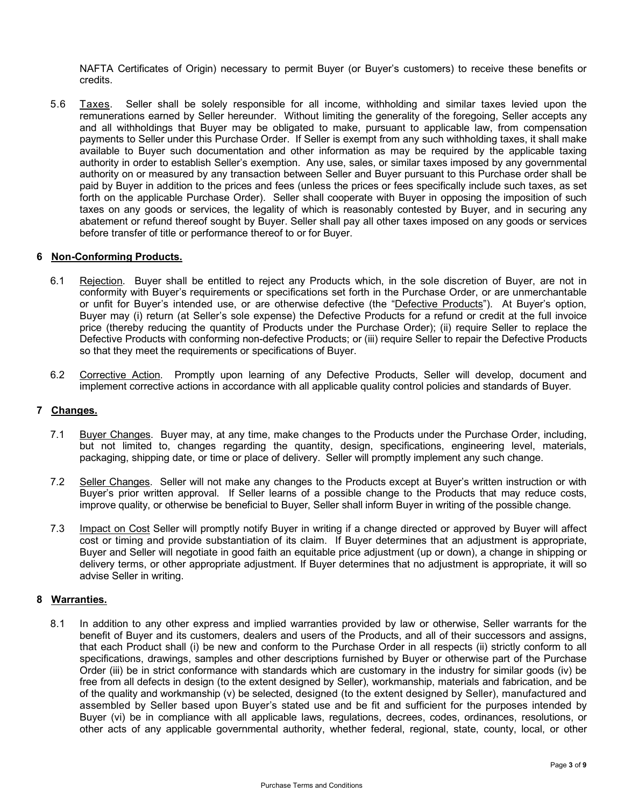NAFTA Certificates of Origin) necessary to permit Buyer (or Buyer's customers) to receive these benefits or credits.

5.6 Taxes. Seller shall be solely responsible for all income, withholding and similar taxes levied upon the remunerations earned by Seller hereunder. Without limiting the generality of the foregoing, Seller accepts any and all withholdings that Buyer may be obligated to make, pursuant to applicable law, from compensation payments to Seller under this Purchase Order. If Seller is exempt from any such withholding taxes, it shall make available to Buyer such documentation and other information as may be required by the applicable taxing authority in order to establish Seller's exemption. Any use, sales, or similar taxes imposed by any governmental authority on or measured by any transaction between Seller and Buyer pursuant to this Purchase order shall be paid by Buyer in addition to the prices and fees (unless the prices or fees specifically include such taxes, as set forth on the applicable Purchase Order). Seller shall cooperate with Buyer in opposing the imposition of such taxes on any goods or services, the legality of which is reasonably contested by Buyer, and in securing any abatement or refund thereof sought by Buyer. Seller shall pay all other taxes imposed on any goods or services before transfer of title or performance thereof to or for Buyer.

#### **6 Non-Conforming Products.**

- 6.1 Rejection. Buyer shall be entitled to reject any Products which, in the sole discretion of Buyer, are not in conformity with Buyer's requirements or specifications set forth in the Purchase Order, or are unmerchantable or unfit for Buyer's intended use, or are otherwise defective (the "Defective Products"). At Buyer's option, Buyer may (i) return (at Seller's sole expense) the Defective Products for a refund or credit at the full invoice price (thereby reducing the quantity of Products under the Purchase Order); (ii) require Seller to replace the Defective Products with conforming non-defective Products; or (iii) require Seller to repair the Defective Products so that they meet the requirements or specifications of Buyer.
- 6.2 Corrective Action. Promptly upon learning of any Defective Products, Seller will develop, document and implement corrective actions in accordance with all applicable quality control policies and standards of Buyer.

#### **7 Changes.**

- 7.1 Buyer Changes. Buyer may, at any time, make changes to the Products under the Purchase Order, including, but not limited to, changes regarding the quantity, design, specifications, engineering level, materials, packaging, shipping date, or time or place of delivery. Seller will promptly implement any such change.
- 7.2 Seller Changes. Seller will not make any changes to the Products except at Buyer's written instruction or with Buyer's prior written approval. If Seller learns of a possible change to the Products that may reduce costs, improve quality, or otherwise be beneficial to Buyer, Seller shall inform Buyer in writing of the possible change.
- 7.3 Impact on Cost Seller will promptly notify Buyer in writing if a change directed or approved by Buyer will affect cost or timing and provide substantiation of its claim. If Buyer determines that an adjustment is appropriate, Buyer and Seller will negotiate in good faith an equitable price adjustment (up or down), a change in shipping or delivery terms, or other appropriate adjustment. If Buyer determines that no adjustment is appropriate, it will so advise Seller in writing.

#### **8 Warranties.**

8.1 In addition to any other express and implied warranties provided by law or otherwise, Seller warrants for the benefit of Buyer and its customers, dealers and users of the Products, and all of their successors and assigns, that each Product shall (i) be new and conform to the Purchase Order in all respects (ii) strictly conform to all specifications, drawings, samples and other descriptions furnished by Buyer or otherwise part of the Purchase Order (iii) be in strict conformance with standards which are customary in the industry for similar goods (iv) be free from all defects in design (to the extent designed by Seller), workmanship, materials and fabrication, and be of the quality and workmanship (v) be selected, designed (to the extent designed by Seller), manufactured and assembled by Seller based upon Buyer's stated use and be fit and sufficient for the purposes intended by Buyer (vi) be in compliance with all applicable laws, regulations, decrees, codes, ordinances, resolutions, or other acts of any applicable governmental authority, whether federal, regional, state, county, local, or other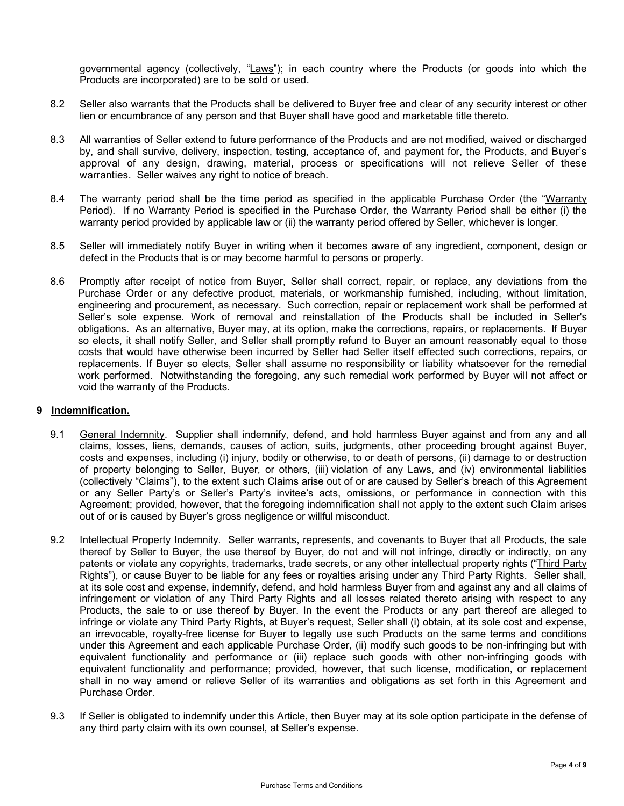governmental agency (collectively, "Laws"); in each country where the Products (or goods into which the Products are incorporated) are to be sold or used.

- 8.2 Seller also warrants that the Products shall be delivered to Buyer free and clear of any security interest or other lien or encumbrance of any person and that Buyer shall have good and marketable title thereto.
- 8.3 All warranties of Seller extend to future performance of the Products and are not modified, waived or discharged by, and shall survive, delivery, inspection, testing, acceptance of, and payment for, the Products, and Buyer's approval of any design, drawing, material, process or specifications will not relieve Seller of these warranties. Seller waives any right to notice of breach.
- 8.4 The warranty period shall be the time period as specified in the applicable Purchase Order (the "Warranty Period). If no Warranty Period is specified in the Purchase Order, the Warranty Period shall be either (i) the warranty period provided by applicable law or (ii) the warranty period offered by Seller, whichever is longer.
- 8.5 Seller will immediately notify Buyer in writing when it becomes aware of any ingredient, component, design or defect in the Products that is or may become harmful to persons or property.
- 8.6 Promptly after receipt of notice from Buyer, Seller shall correct, repair, or replace, any deviations from the Purchase Order or any defective product, materials, or workmanship furnished, including, without limitation, engineering and procurement, as necessary. Such correction, repair or replacement work shall be performed at Seller's sole expense. Work of removal and reinstallation of the Products shall be included in Seller's obligations. As an alternative, Buyer may, at its option, make the corrections, repairs, or replacements. If Buyer so elects, it shall notify Seller, and Seller shall promptly refund to Buyer an amount reasonably equal to those costs that would have otherwise been incurred by Seller had Seller itself effected such corrections, repairs, or replacements. If Buyer so elects, Seller shall assume no responsibility or liability whatsoever for the remedial work performed. Notwithstanding the foregoing, any such remedial work performed by Buyer will not affect or void the warranty of the Products.

#### **9 Indemnification.**

- 9.1 General Indemnity.Supplier shall indemnify, defend, and hold harmless Buyer against and from any and all claims, losses, liens, demands, causes of action, suits, judgments, other proceeding brought against Buyer, costs and expenses, including (i) injury, bodily or otherwise, to or death of persons, (ii) damage to or destruction of property belonging to Seller, Buyer, or others, (iii) violation of any Laws, and (iv) environmental liabilities (collectively "Claims"), to the extent such Claims arise out of or are caused by Seller's breach of this Agreement or any Seller Party's or Seller's Party's invitee's acts, omissions, or performance in connection with this Agreement; provided, however, that the foregoing indemnification shall not apply to the extent such Claim arises out of or is caused by Buyer's gross negligence or willful misconduct.
- 9.2 Intellectual Property Indemnity.Seller warrants, represents, and covenants to Buyer that all Products, the sale thereof by Seller to Buyer, the use thereof by Buyer, do not and will not infringe, directly or indirectly, on any patents or violate any copyrights, trademarks, trade secrets, or any other intellectual property rights ("Third Party Rights"), or cause Buyer to be liable for any fees or royalties arising under any Third Party Rights. Seller shall, at its sole cost and expense, indemnify, defend, and hold harmless Buyer from and against any and all claims of infringement or violation of any Third Party Rights and all losses related thereto arising with respect to any Products, the sale to or use thereof by Buyer. In the event the Products or any part thereof are alleged to infringe or violate any Third Party Rights, at Buyer's request, Seller shall (i) obtain, at its sole cost and expense, an irrevocable, royalty-free license for Buyer to legally use such Products on the same terms and conditions under this Agreement and each applicable Purchase Order, (ii) modify such goods to be non-infringing but with equivalent functionality and performance or (iii) replace such goods with other non-infringing goods with equivalent functionality and performance; provided, however, that such license, modification, or replacement shall in no way amend or relieve Seller of its warranties and obligations as set forth in this Agreement and Purchase Order.
- 9.3 If Seller is obligated to indemnify under this Article, then Buyer may at its sole option participate in the defense of any third party claim with its own counsel, at Seller's expense.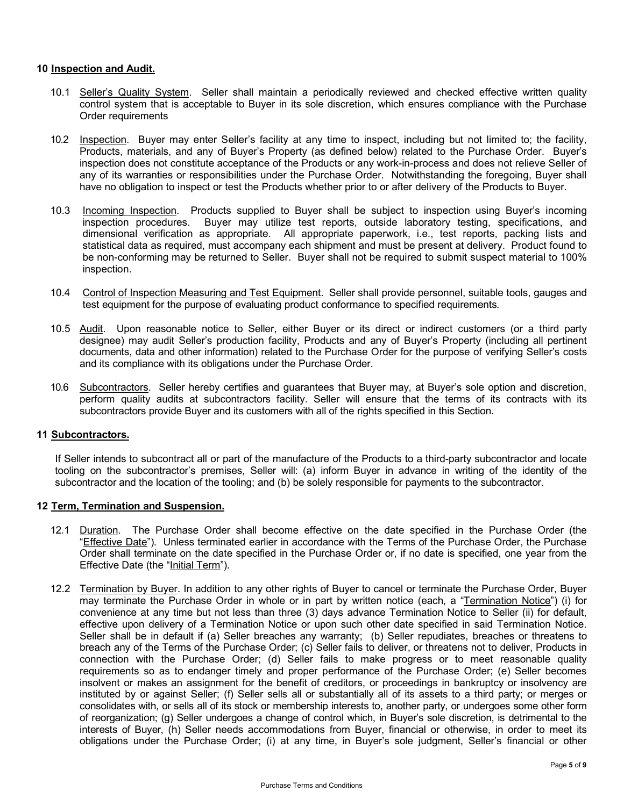#### **10 Inspection and Audit.**

- 10.1 Seller's Quality System. Seller shall maintain a periodically reviewed and checked effective written quality control system that is acceptable to Buyer in its sole discretion, which ensures compliance with the Purchase Order requirements
- 10.2 Inspection. Buyer may enter Seller's facility at any time to inspect, including but not limited to; the facility, Products, materials, and any of Buyer's Property (as defined below) related to the Purchase Order. Buyer's inspection does not constitute acceptance of the Products or any work-in-process and does not relieve Seller of any of its warranties or responsibilities under the Purchase Order. Notwithstanding the foregoing, Buyer shall have no obligation to inspect or test the Products whether prior to or after delivery of the Products to Buyer.
- 10.3 Incoming Inspection. Products supplied to Buyer shall be subject to inspection using Buyer's incoming inspection procedures. Buyer may utilize test reports, outside laboratory testing, specifications, and dimensional verification as appropriate. All appropriate paperwork, i.e., test reports, packing lists and statistical data as required, must accompany each shipment and must be present at delivery. Product found to be non-conforming may be returned to Seller. Buyer shall not be required to submit suspect material to 100% inspection.
- 10.4 Control of Inspection Measuring and Test Equipment. Seller shall provide personnel, suitable tools, gauges and test equipment for the purpose of evaluating product conformance to specified requirements.
- 10.5 Audit. Upon reasonable notice to Seller, either Buyer or its direct or indirect customers (or a third party designee) may audit Seller's production facility, Products and any of Buyer's Property (including all pertinent documents, data and other information) related to the Purchase Order for the purpose of verifying Seller's costs and its compliance with its obligations under the Purchase Order.
- 10.6 Subcontractors. Seller hereby certifies and guarantees that Buyer may, at Buyer's sole option and discretion, perform quality audits at subcontractors facility. Seller will ensure that the terms of its contracts with its subcontractors provide Buyer and its customers with all of the rights specified in this Section.

#### **11 Subcontractors.**

If Seller intends to subcontract all or part of the manufacture of the Products to a third-party subcontractor and locate tooling on the subcontractor's premises, Seller will: (a) inform Buyer in advance in writing of the identity of the subcontractor and the location of the tooling; and (b) be solely responsible for payments to the subcontractor.

#### **12 Term, Termination and Suspension.**

- 12.1 Duration. The Purchase Order shall become effective on the date specified in the Purchase Order (the "Effective Date"). Unless terminated earlier in accordance with the Terms of the Purchase Order, the Purchase Order shall terminate on the date specified in the Purchase Order or, if no date is specified, one year from the Effective Date (the "Initial Term").
- 12.2 Termination by Buyer. In addition to any other rights of Buyer to cancel or terminate the Purchase Order, Buyer may terminate the Purchase Order in whole or in part by written notice (each, a "Termination Notice") (i) for convenience at any time but not less than three (3) days advance Termination Notice to Seller (ii) for default, effective upon delivery of a Termination Notice or upon such other date specified in said Termination Notice. Seller shall be in default if (a) Seller breaches any warranty; (b) Seller repudiates, breaches or threatens to breach any of the Terms of the Purchase Order; (c) Seller fails to deliver, or threatens not to deliver, Products in connection with the Purchase Order; (d) Seller fails to make progress or to meet reasonable quality requirements so as to endanger timely and proper performance of the Purchase Order; (e) Seller becomes insolvent or makes an assignment for the benefit of creditors, or proceedings in bankruptcy or insolvency are instituted by or against Seller; (f) Seller sells all or substantially all of its assets to a third party; or merges or consolidates with, or sells all of its stock or membership interests to, another party, or undergoes some other form of reorganization; (g) Seller undergoes a change of control which, in Buyer's sole discretion, is detrimental to the interests of Buyer, (h) Seller needs accommodations from Buyer, financial or otherwise, in order to meet its obligations under the Purchase Order; (i) at any time, in Buyer's sole judgment, Seller's financial or other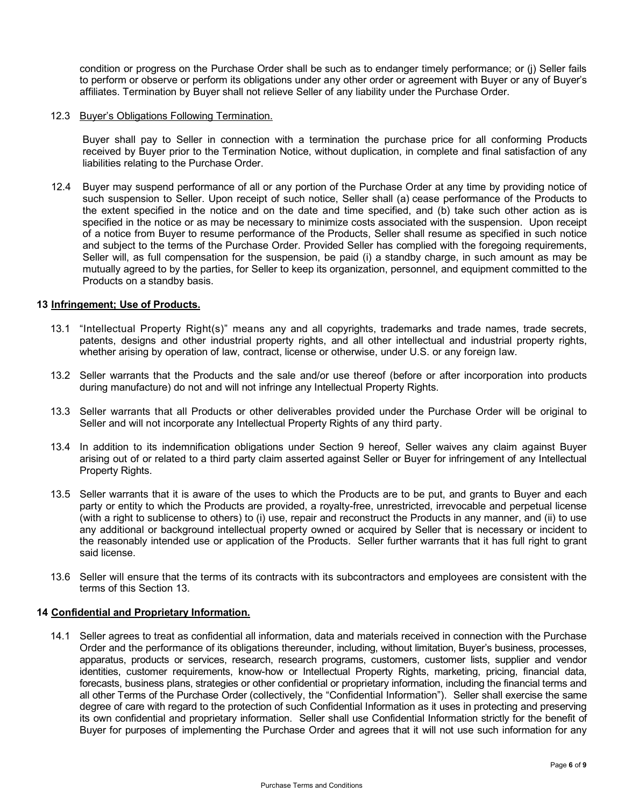condition or progress on the Purchase Order shall be such as to endanger timely performance; or (j) Seller fails to perform or observe or perform its obligations under any other order or agreement with Buyer or any of Buyer's affiliates. Termination by Buyer shall not relieve Seller of any liability under the Purchase Order.

#### 12.3 Buyer's Obligations Following Termination.

Buyer shall pay to Seller in connection with a termination the purchase price for all conforming Products received by Buyer prior to the Termination Notice, without duplication, in complete and final satisfaction of any liabilities relating to the Purchase Order.

 12.4 Buyer may suspend performance of all or any portion of the Purchase Order at any time by providing notice of such suspension to Seller. Upon receipt of such notice, Seller shall (a) cease performance of the Products to the extent specified in the notice and on the date and time specified, and (b) take such other action as is specified in the notice or as may be necessary to minimize costs associated with the suspension. Upon receipt of a notice from Buyer to resume performance of the Products, Seller shall resume as specified in such notice and subject to the terms of the Purchase Order. Provided Seller has complied with the foregoing requirements, Seller will, as full compensation for the suspension, be paid (i) a standby charge, in such amount as may be mutually agreed to by the parties, for Seller to keep its organization, personnel, and equipment committed to the Products on a standby basis.

#### **13 Infringement; Use of Products.**

- 13.1 "Intellectual Property Right(s)" means any and all copyrights, trademarks and trade names, trade secrets, patents, designs and other industrial property rights, and all other intellectual and industrial property rights, whether arising by operation of law, contract, license or otherwise, under U.S. or any foreign law.
- 13.2 Seller warrants that the Products and the sale and/or use thereof (before or after incorporation into products during manufacture) do not and will not infringe any Intellectual Property Rights.
- 13.3 Seller warrants that all Products or other deliverables provided under the Purchase Order will be original to Seller and will not incorporate any Intellectual Property Rights of any third party.
- 13.4 In addition to its indemnification obligations under Section 9 hereof, Seller waives any claim against Buyer arising out of or related to a third party claim asserted against Seller or Buyer for infringement of any Intellectual Property Rights.
- 13.5 Seller warrants that it is aware of the uses to which the Products are to be put, and grants to Buyer and each party or entity to which the Products are provided, a royalty-free, unrestricted, irrevocable and perpetual license (with a right to sublicense to others) to (i) use, repair and reconstruct the Products in any manner, and (ii) to use any additional or background intellectual property owned or acquired by Seller that is necessary or incident to the reasonably intended use or application of the Products. Seller further warrants that it has full right to grant said license.
- 13.6 Seller will ensure that the terms of its contracts with its subcontractors and employees are consistent with the terms of this Section 13.

### **14 Confidential and Proprietary Information.**

14.1 Seller agrees to treat as confidential all information, data and materials received in connection with the Purchase Order and the performance of its obligations thereunder, including, without limitation, Buyer's business, processes, apparatus, products or services, research, research programs, customers, customer lists, supplier and vendor identities, customer requirements, know-how or Intellectual Property Rights, marketing, pricing, financial data, forecasts, business plans, strategies or other confidential or proprietary information, including the financial terms and all other Terms of the Purchase Order (collectively, the "Confidential Information"). Seller shall exercise the same degree of care with regard to the protection of such Confidential Information as it uses in protecting and preserving its own confidential and proprietary information. Seller shall use Confidential Information strictly for the benefit of Buyer for purposes of implementing the Purchase Order and agrees that it will not use such information for any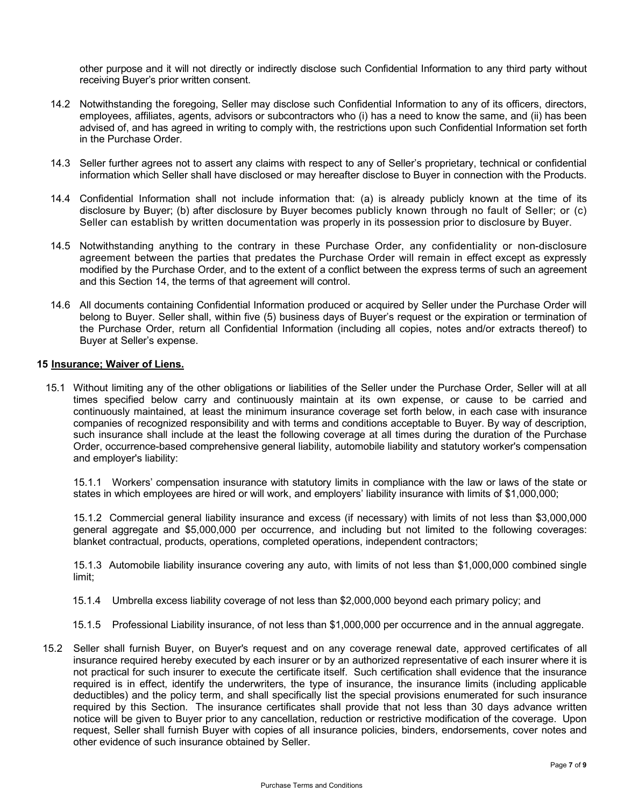other purpose and it will not directly or indirectly disclose such Confidential Information to any third party without receiving Buyer's prior written consent.

- 14.2 Notwithstanding the foregoing, Seller may disclose such Confidential Information to any of its officers, directors, employees, affiliates, agents, advisors or subcontractors who (i) has a need to know the same, and (ii) has been advised of, and has agreed in writing to comply with, the restrictions upon such Confidential Information set forth in the Purchase Order.
- 14.3 Seller further agrees not to assert any claims with respect to any of Seller's proprietary, technical or confidential information which Seller shall have disclosed or may hereafter disclose to Buyer in connection with the Products.
- 14.4 Confidential Information shall not include information that: (a) is already publicly known at the time of its disclosure by Buyer; (b) after disclosure by Buyer becomes publicly known through no fault of Seller; or (c) Seller can establish by written documentation was properly in its possession prior to disclosure by Buyer.
- 14.5 Notwithstanding anything to the contrary in these Purchase Order, any confidentiality or non-disclosure agreement between the parties that predates the Purchase Order will remain in effect except as expressly modified by the Purchase Order, and to the extent of a conflict between the express terms of such an agreement and this Section 14, the terms of that agreement will control.
- 14.6 All documents containing Confidential Information produced or acquired by Seller under the Purchase Order will belong to Buyer. Seller shall, within five (5) business days of Buyer's request or the expiration or termination of the Purchase Order, return all Confidential Information (including all copies, notes and/or extracts thereof) to Buyer at Seller's expense.

### **15 Insurance; Waiver of Liens.**

 15.1 Without limiting any of the other obligations or liabilities of the Seller under the Purchase Order, Seller will at all times specified below carry and continuously maintain at its own expense, or cause to be carried and continuously maintained, at least the minimum insurance coverage set forth below, in each case with insurance companies of recognized responsibility and with terms and conditions acceptable to Buyer. By way of description, such insurance shall include at the least the following coverage at all times during the duration of the Purchase Order, occurrence-based comprehensive general liability, automobile liability and statutory worker's compensation and employer's liability:

15.1.1 Workers' compensation insurance with statutory limits in compliance with the law or laws of the state or states in which employees are hired or will work, and employers' liability insurance with limits of \$1,000,000;

15.1.2 Commercial general liability insurance and excess (if necessary) with limits of not less than \$3,000,000 general aggregate and \$5,000,000 per occurrence, and including but not limited to the following coverages: blanket contractual, products, operations, completed operations, independent contractors;

15.1.3 Automobile liability insurance covering any auto, with limits of not less than \$1,000,000 combined single limit;

- 15.1.4 Umbrella excess liability coverage of not less than \$2,000,000 beyond each primary policy; and
- 15.1.5 Professional Liability insurance, of not less than \$1,000,000 per occurrence and in the annual aggregate.
- 15.2 Seller shall furnish Buyer, on Buyer's request and on any coverage renewal date, approved certificates of all insurance required hereby executed by each insurer or by an authorized representative of each insurer where it is not practical for such insurer to execute the certificate itself. Such certification shall evidence that the insurance required is in effect, identify the underwriters, the type of insurance, the insurance limits (including applicable deductibles) and the policy term, and shall specifically list the special provisions enumerated for such insurance required by this Section. The insurance certificates shall provide that not less than 30 days advance written notice will be given to Buyer prior to any cancellation, reduction or restrictive modification of the coverage. Upon request, Seller shall furnish Buyer with copies of all insurance policies, binders, endorsements, cover notes and other evidence of such insurance obtained by Seller.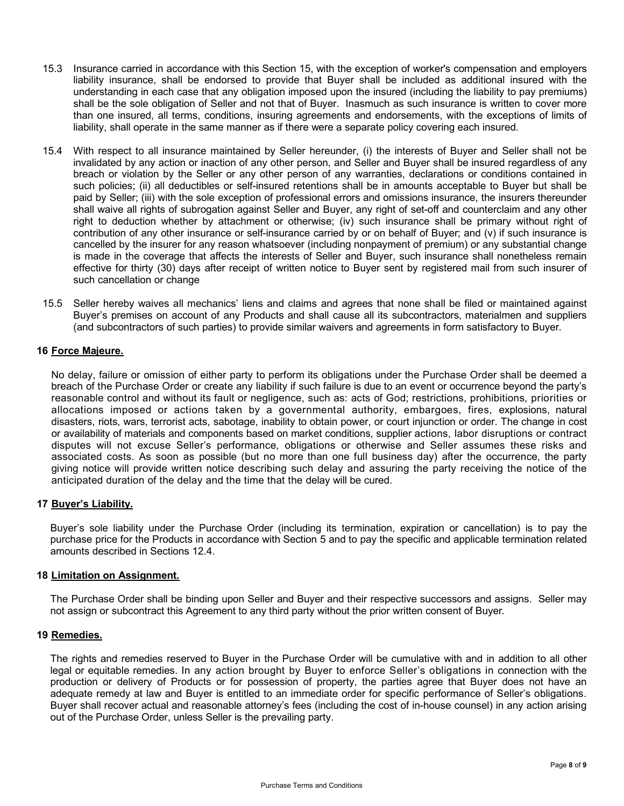- 15.3 Insurance carried in accordance with this Section 15, with the exception of worker's compensation and employers liability insurance, shall be endorsed to provide that Buyer shall be included as additional insured with the understanding in each case that any obligation imposed upon the insured (including the liability to pay premiums) shall be the sole obligation of Seller and not that of Buyer. Inasmuch as such insurance is written to cover more than one insured, all terms, conditions, insuring agreements and endorsements, with the exceptions of limits of liability, shall operate in the same manner as if there were a separate policy covering each insured.
- 15.4 With respect to all insurance maintained by Seller hereunder, (i) the interests of Buyer and Seller shall not be invalidated by any action or inaction of any other person, and Seller and Buyer shall be insured regardless of any breach or violation by the Seller or any other person of any warranties, declarations or conditions contained in such policies; (ii) all deductibles or self-insured retentions shall be in amounts acceptable to Buyer but shall be paid by Seller; (iii) with the sole exception of professional errors and omissions insurance, the insurers thereunder shall waive all rights of subrogation against Seller and Buyer, any right of set-off and counterclaim and any other right to deduction whether by attachment or otherwise; (iv) such insurance shall be primary without right of contribution of any other insurance or self-insurance carried by or on behalf of Buyer; and (v) if such insurance is cancelled by the insurer for any reason whatsoever (including nonpayment of premium) or any substantial change is made in the coverage that affects the interests of Seller and Buyer, such insurance shall nonetheless remain effective for thirty (30) days after receipt of written notice to Buyer sent by registered mail from such insurer of such cancellation or change
- 15.5 Seller hereby waives all mechanics' liens and claims and agrees that none shall be filed or maintained against Buyer's premises on account of any Products and shall cause all its subcontractors, materialmen and suppliers (and subcontractors of such parties) to provide similar waivers and agreements in form satisfactory to Buyer.

#### **16 Force Majeure.**

No delay, failure or omission of either party to perform its obligations under the Purchase Order shall be deemed a breach of the Purchase Order or create any liability if such failure is due to an event or occurrence beyond the party's reasonable control and without its fault or negligence, such as: acts of God; restrictions, prohibitions, priorities or allocations imposed or actions taken by a governmental authority, embargoes, fires, explosions, natural disasters, riots, wars, terrorist acts, sabotage, inability to obtain power, or court injunction or order. The change in cost or availability of materials and components based on market conditions, supplier actions, labor disruptions or contract disputes will not excuse Seller's performance, obligations or otherwise and Seller assumes these risks and associated costs. As soon as possible (but no more than one full business day) after the occurrence, the party giving notice will provide written notice describing such delay and assuring the party receiving the notice of the anticipated duration of the delay and the time that the delay will be cured.

# **17 Buyer's Liability.**

Buyer's sole liability under the Purchase Order (including its termination, expiration or cancellation) is to pay the purchase price for the Products in accordance with Section 5 and to pay the specific and applicable termination related amounts described in Sections 12.4.

#### **18 Limitation on Assignment.**

The Purchase Order shall be binding upon Seller and Buyer and their respective successors and assigns. Seller may not assign or subcontract this Agreement to any third party without the prior written consent of Buyer.

#### **19 Remedies.**

The rights and remedies reserved to Buyer in the Purchase Order will be cumulative with and in addition to all other legal or equitable remedies. In any action brought by Buyer to enforce Seller's obligations in connection with the production or delivery of Products or for possession of property, the parties agree that Buyer does not have an adequate remedy at law and Buyer is entitled to an immediate order for specific performance of Seller's obligations. Buyer shall recover actual and reasonable attorney's fees (including the cost of in-house counsel) in any action arising out of the Purchase Order, unless Seller is the prevailing party.